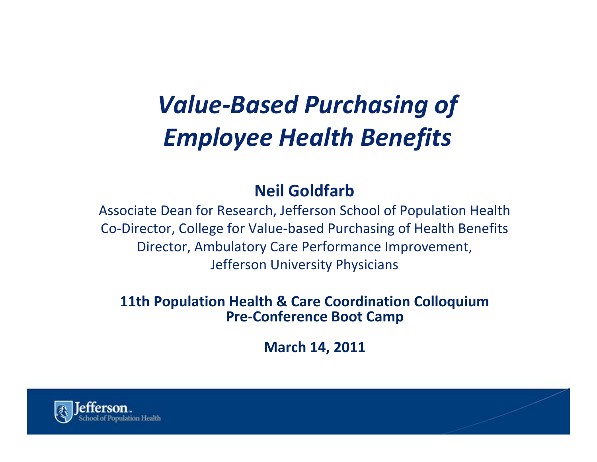# *Value‐Based Purchasing of Employee Health Benefits*

#### **Neil Goldfarb**

Associate Dean for Research, Jefferson School of Population Health Co‐Director, College for Value‐based Purchasing of Health Benefits Director, Ambulatory Care Performance Improvement, Jefferson University Physicians

#### **11th Population Health & Care Coordination Colloquium Pre‐Conference Boot Camp**

**March 14, 2011**

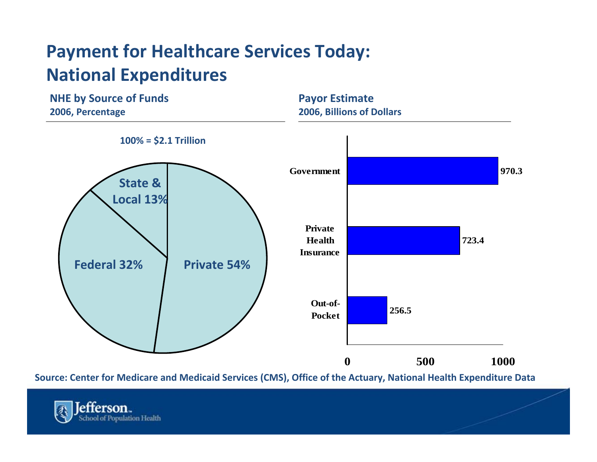#### **Payment for Healthcare Services Today: National Expenditures**



**Source: Center for Medicare and Medicaid Services (CMS), Office of the Actuary, National Health Expenditure Data**

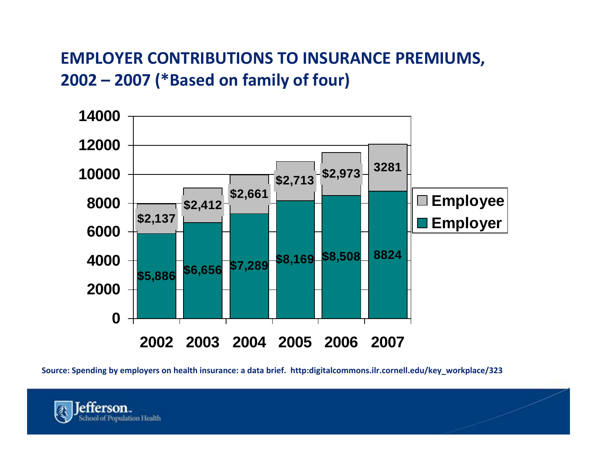#### **EMPLOYER CONTRIBUTIONS TO INSURANCE PREMIUMS, 2002 – 2007 (\*Based on family of four)**



**Source: Spending by employers on health insurance: <sup>a</sup> data brief. http:digitalcommons.ilr.cornell.edu/key\_workplace/323**

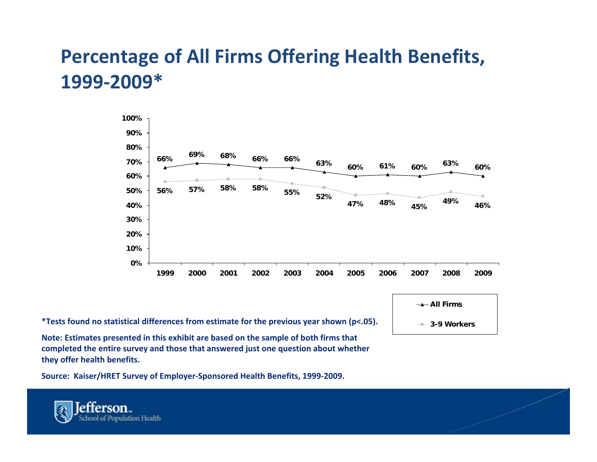#### **Percentage of All Firms Offering Health Benefits, 1999‐2009\***



**\*Tests found no statistical differences from estimate for the previous year shown (p<.05).**

**Note: Estimates presented in this exhibit are based on the sample of both firms that completed the entire survey and those that answered just one question about whether they offer health benefits.**

**Source: Kaiser/HRET Survey of Employer‐Sponsored Health Benefits, 1999‐2009.**

erson. chool of Population Health **All Firms3-9 Workers**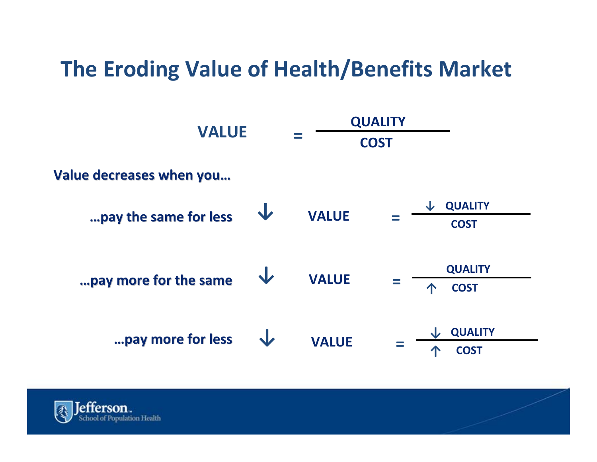# **The Eroding Value of Health/Benefits Market**

| <b>VALUE</b>             |   | <b>QUALITY</b><br><b>COST</b> |  |                                    |
|--------------------------|---|-------------------------------|--|------------------------------------|
| Value decreases when you |   |                               |  |                                    |
| pay the same for less    | J | <b>VALUE</b>                  |  | <b>QUALITY</b><br><b>COST</b>      |
| pay more for the same    |   | <b>VALUE</b>                  |  | <b>QUALITY</b><br><b>COST</b><br>个 |
| pay more for less        |   | <b>VALUE</b>                  |  | <b>QUALITY</b><br><b>COST</b>      |

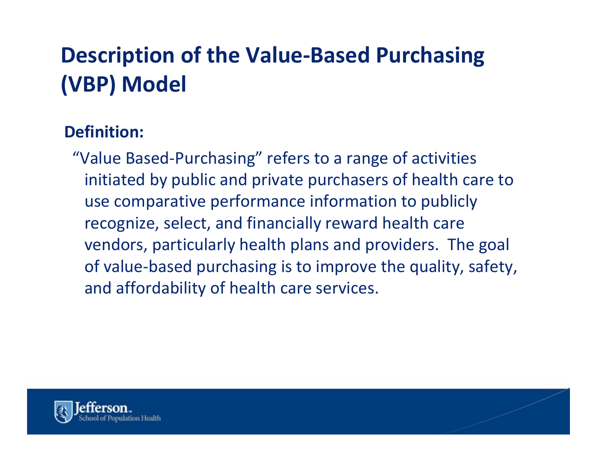# **Description of the Value‐Based Purchasing (VBP) Model**

#### **Definition:**

"Value Based‐Purchasing" refers to <sup>a</sup> range of activities initiated by public and private purchasers of health care to use comparative performance information to publicly recognize, select, and financially reward health care vendors, particularly health plans and providers. The goal of value‐based purchasing is to improve the quality, safety, and affordability of health care services.

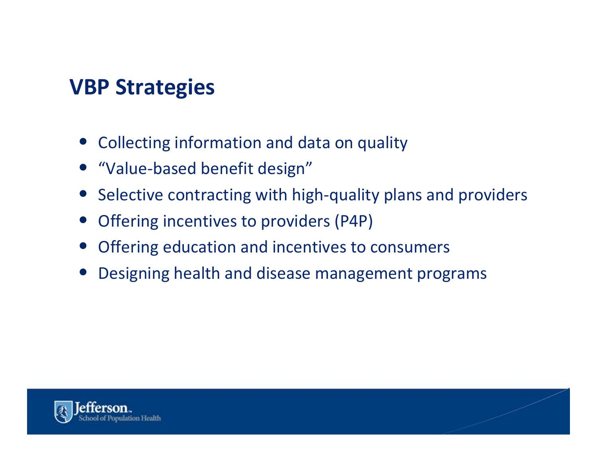## **VBP Strategies**

- Collecting information and data on quality
- "Value-based benefit design"
- Selective contracting with high-quality plans and providers
- $\bullet$ Offering incentives to providers (P4P)
- $\bullet$ Offering education and incentives to consumers
- $\bullet$ Designing health and disease management programs

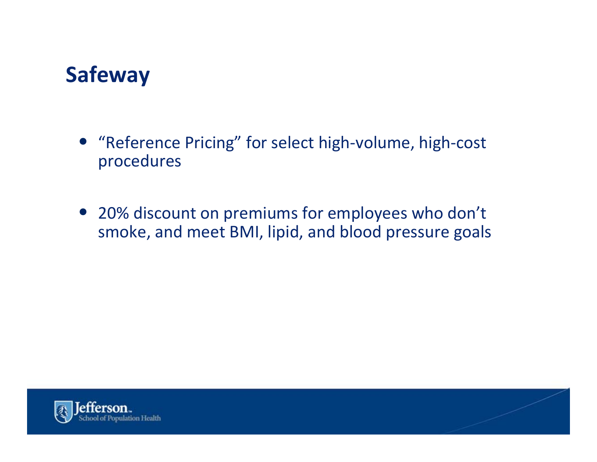## **Safeway**

- "Reference Pricing" for select high‐volume, high‐cost procedures
- 20% discount on premiums for employees who don't smoke, and meet BMI, lipid, and blood pressure goals

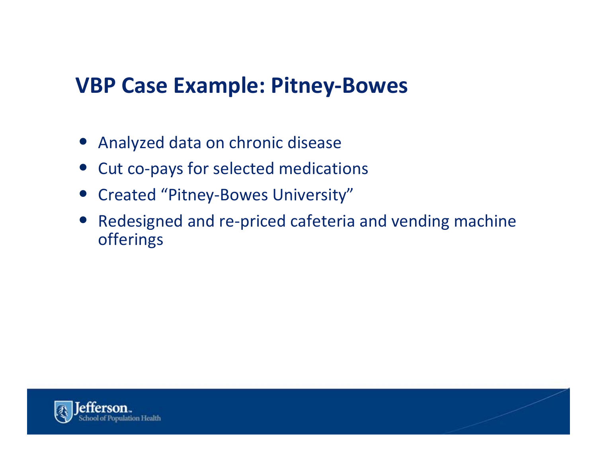#### **VBP Case Example: Pitney‐Bowes**

- Analyzed data on chronic disease
- Cut co-pays for selected medications
- Created "Pitney‐Bowes University"
- $\bullet$  Redesigned and re‐priced cafeteria and vending machine offerings

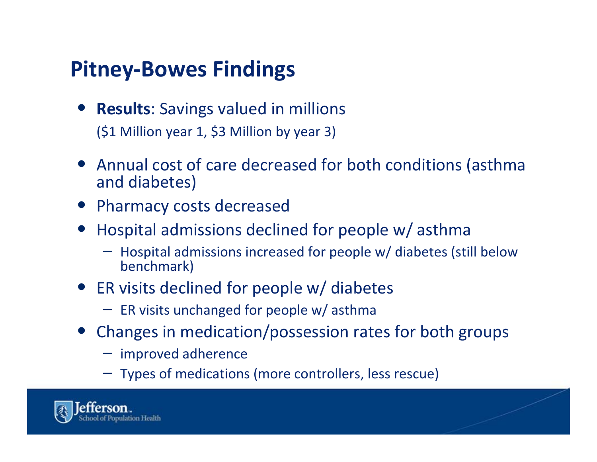# **Pitney‐Bowes Findings**

- **Results**: Savings valued in millions (\$1 Million year 1, \$3 Million by year 3)
- Annual cost of care decreased for both conditions (asthma and diabetes)
- Pharmacy costs decreased
- Hospital admissions declined for people w/ asthma
	- Hospital admissions increased for people w/ diabetes (still below benchmark)
- ER visits declined for people w/ diabetes
	- ER visits unchanged for people w/ asthma
- Changes in medication/possession rates for both groups
	- improved adherence
	- Types of medications (more controllers, less rescue)

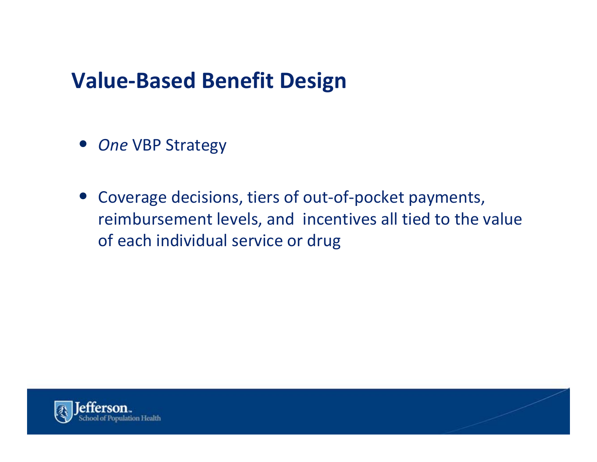#### **Value‐Based Benefit Design**

- *One* VBP Strategy
- Coverage decisions, tiers of out-of-pocket payments, reimbursement levels, and incentives all tied to the value of each individual service or drug

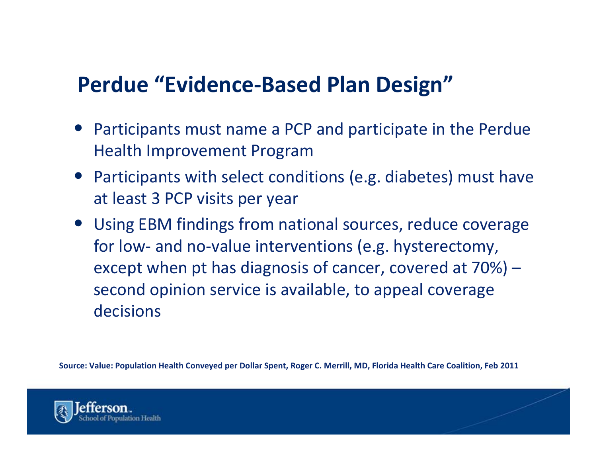## **Perdue "Evidence‐Based Plan Design"**

- Participants must name <sup>a</sup> PCP and participate in the Perdue Health Improvement Program
- Participants with select conditions (e.g. diabetes) must have at least 3 PCP visits per year
- Using EBM findings from national sources, reduce coverage for low‐ and no‐value interventions (e.g. hysterectomy, except when pt has diagnosis of cancer, covered at 70%) – second opinion service is available, to appeal coverage decisions

Source: Value: Population Health Conveyed per Dollar Spent, Roger C. Merrill, MD, Florida Health Care Coalition, Feb 2011

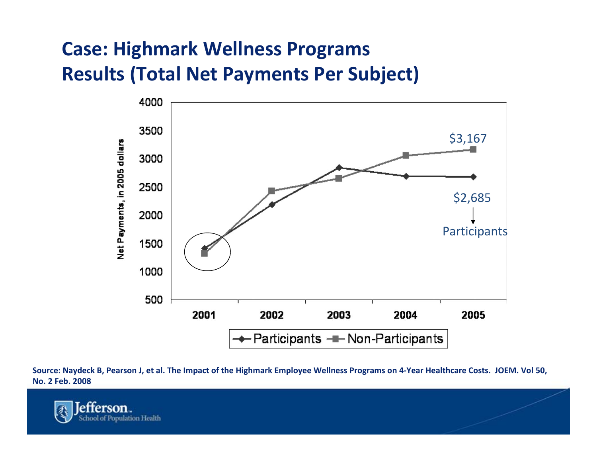#### **Case: Highmark Wellness Programs Results (Total Net Payments Per Subject)**



Source: Naydeck B, Pearson J, et al. The Impact of the Highmark Employee Wellness Programs on 4-Year Healthcare Costs. JOEM. Vol 50, **No. 2 Feb. 2008**

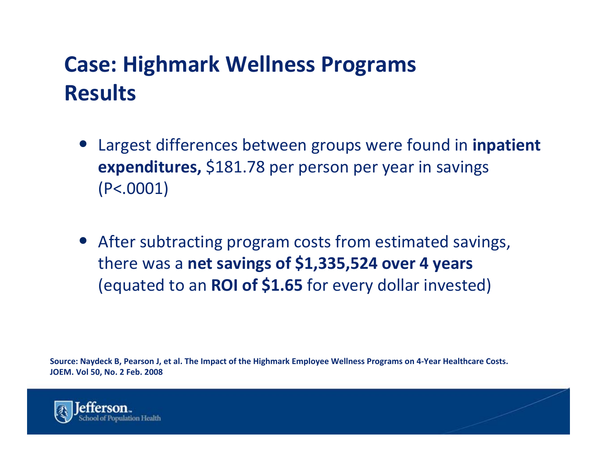# **Case: Highmark Wellness Programs Results**

- Largest differences between groups were found in **inpatient expenditures,** \$181.78 per person per year in savings (P<.0001)
- After subtracting program costs from estimated savings, there was <sup>a</sup> **net savings of \$1,335,524 over <sup>4</sup> years** (equated to an **ROI of \$1.65** for every dollar invested)

Source: Naydeck B, Pearson J, et al. The Impact of the Highmark Employee Wellness Programs on 4-Year Healthcare Costs. **JOEM. Vol 50, No. 2 Feb. 2008**

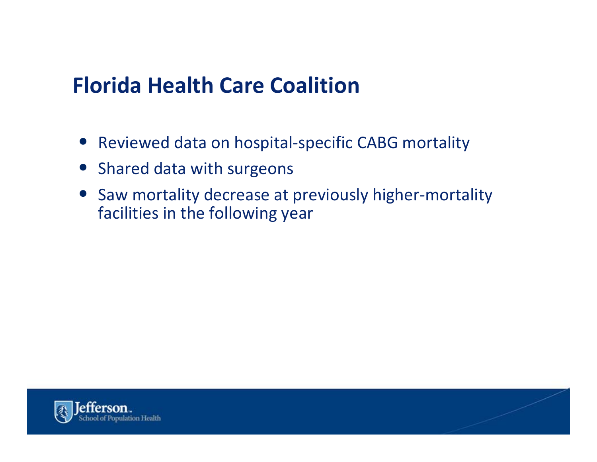## **Florida Health Care Coalition**

- Reviewed data on hospital-specific CABG mortality
- Shared data with surgeons
- Saw mortality decrease at previously higher‐mortality facilities in the following year

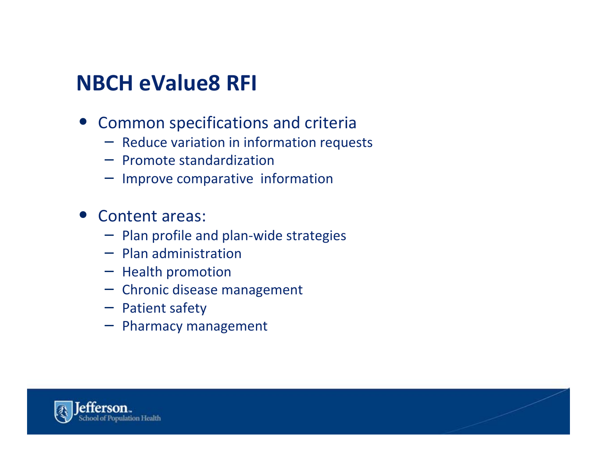#### **NBCH eValue8 RFI**

- Common specifications and criteria
	- Reduce variation in information requests
	- Promote standardization
	- Improve comparative information
- Content areas:
	- Plan profile and plan‐wide strategies
	- Plan administration
	- Health promotion
	- Chronic disease management
	- Patient safety
	- Pharmacy management

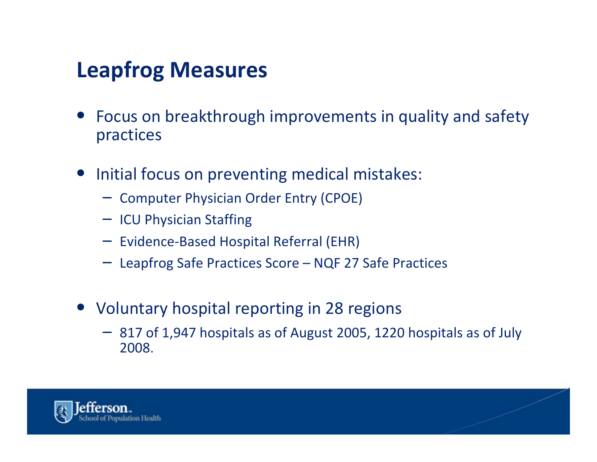# **Leapfrog Measures**

- Focus on breakthrough improvements in quality and safety practices
- $\bullet$ • Initial focus on preventing medical mistakes:
	- Computer Physician Order Entry (CPOE)
	- ICU Physician Staffing
	- Evidence‐Based Hospital Referral (EHR)
	- Leapfrog Safe Practices Score NQF 27 Safe Practices
- Voluntary hospital reporting in 28 regions
	- 817 of 1,947 hospitals as of August 2005, 1220 hospitals as of July 2008.

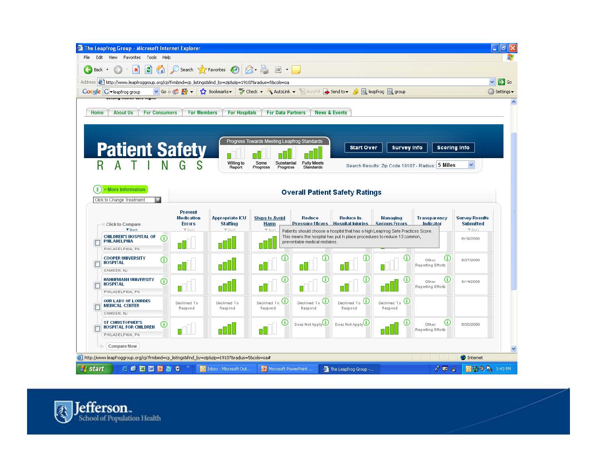

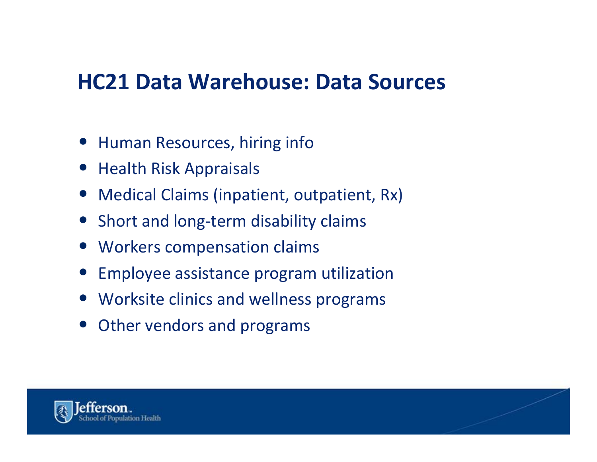#### **HC21 Data Warehouse: Data Sources**

- Human Resources, hiring info
- Health Risk Appraisals
- $\bullet$ Medical Claims (inpatient, outpatient, Rx)
- Short and long-term disability claims
- Workers compensation claims
- $\bullet$ Employee assistance program utilization
- Worksite clinics and wellness programs
- Other vendors and programs

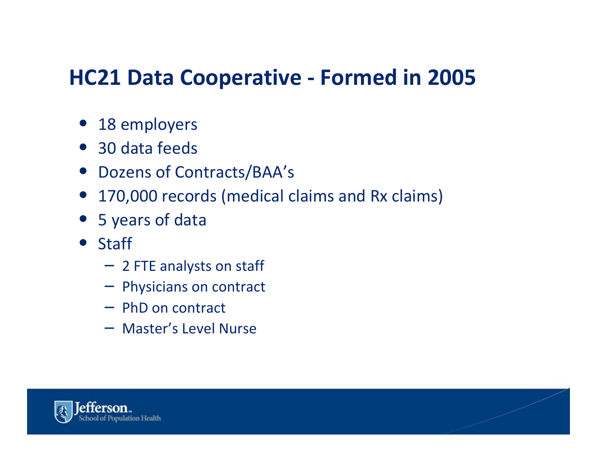## **HC21 Data Cooperative ‐ Formed in 2005**

- 18 employers
- 30 data feeds
- Dozens of Contracts/BAA's
- $\bullet$ 170,000 records (medical claims and Rx claims)
- 5 years of data
- Staff
	- 2 FTE analysts on staff
	- Physicians on contract
	- PhD on contract
	- Master's Level Nurse

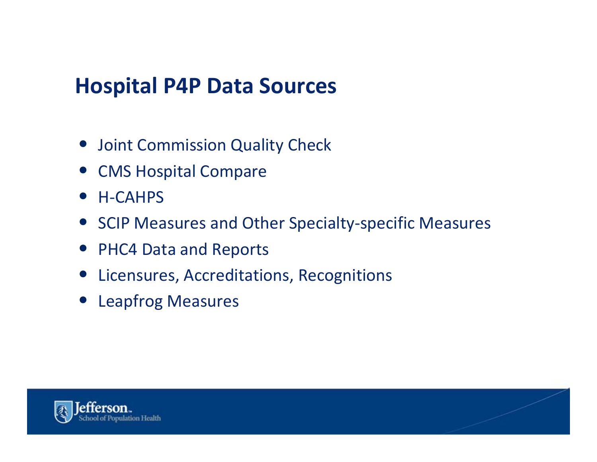#### **Hospital P4P Data Sources**

- Joint Commission Quality Check
- CMS Hospital Compare
- H-CAHPS
- SCIP Measures and Other Specialty‐specific Measures
- PHC4 Data and Reports
- Licensures, Accreditations, Recognitions
- Leapfrog Measures

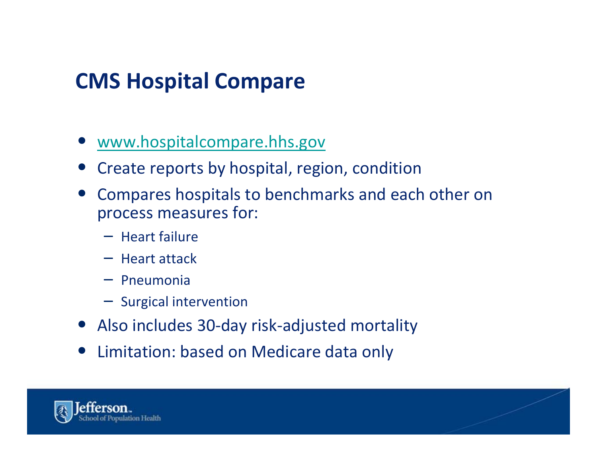# **CMS Hospital Compare**

- [www.hospitalcompare.hhs.gov](http://www.hospitalcompare.hhs.gov/)
- Create reports by hospital, region, condition
- Compares hospitals to benchmarks and each other on process measures for:
	- Heart failure
	- Heart attack
	- Pneumonia
	- Surgical intervention
- Also includes 30‐day risk‐adjusted mortality
- $\bullet$ Limitation: based on Medicare data only

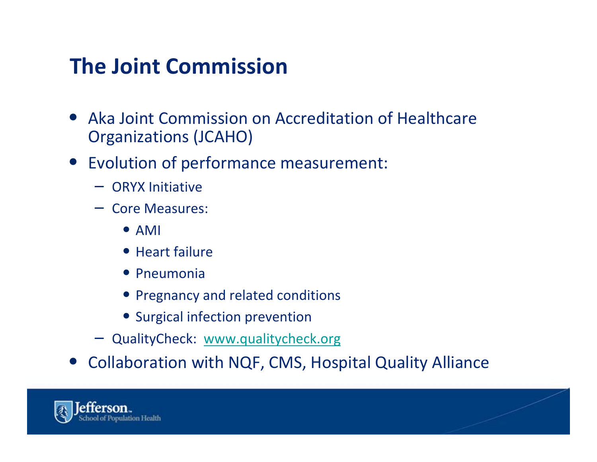# **The Joint Commission**

- $\bullet$  Aka Joint Commission on Accreditation of Healthcare Organizations (JCAHO)
- Evolution of performance measurement:
	- ORYX Initiative
	- Core Measures:
		- AMI
		- Heart failure
		- Pneumonia
		- Pregnancy and related conditions
		- Surgical infection prevention
	- QualityCheck: [www.qualitycheck.org](http://www.qualitycheck.org/)
- Collaboration with NQF, CMS, Hospital Quality Alliance

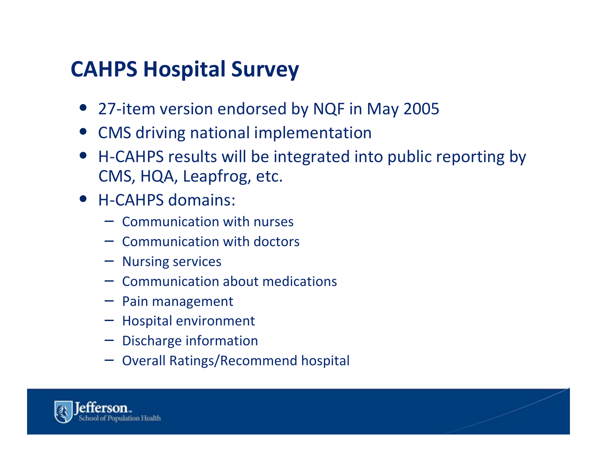# **CAHPS Hospital Survey**

- 27-item version endorsed by NQF in May 2005
- CMS driving national implementation
- H-CAHPS results will be integrated into public reporting by CMS, HQA, Leapfrog, etc.
- H-CAHPS domains:
	- Communication with nurses
	- Communication with doctors
	- Nursing services
	- Communication about medications
	- Pain management
	- Hospital environment
	- Discharge information
	- Overall Ratings/Recommend hospital

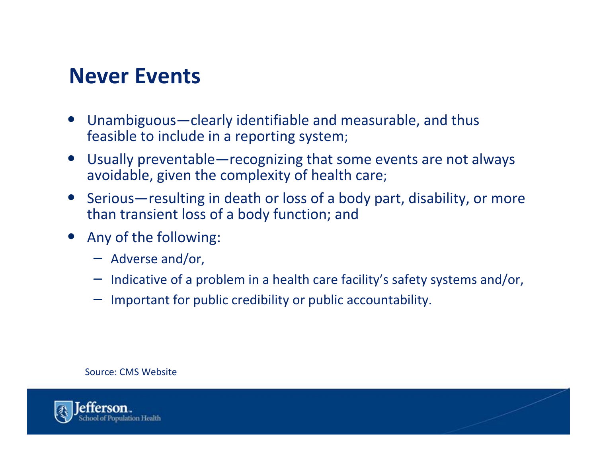#### **Never Events**

- • Unambiguous—clearly identifiable and measurable, and thus feasible to include in <sup>a</sup> reporting system;
- • Usually preventable—recognizing that some events are not always avoidable, given the complexity of health care;
- • Serious—resulting in death or loss of <sup>a</sup> body part, disability, or more than transient loss of <sup>a</sup> body function; and
- • Any of the following:
	- Adverse and/or,
	- Indicative of <sup>a</sup> problem in <sup>a</sup> health care facility's safety systems and/or,
	- Important for public credibility or public accountability.

#### Source: CMS Website

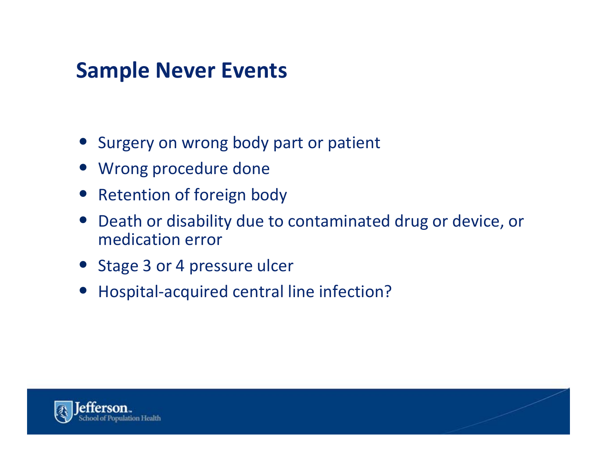## **Sample Never Events**

- Surgery on wrong body part or patient
- Wrong procedure done
- Retention of foreign body
- $\bullet$  Death or disability due to contaminated drug or device, or medication error
- Stage 3 or 4 pressure ulcer
- Hospital-acquired central line infection?

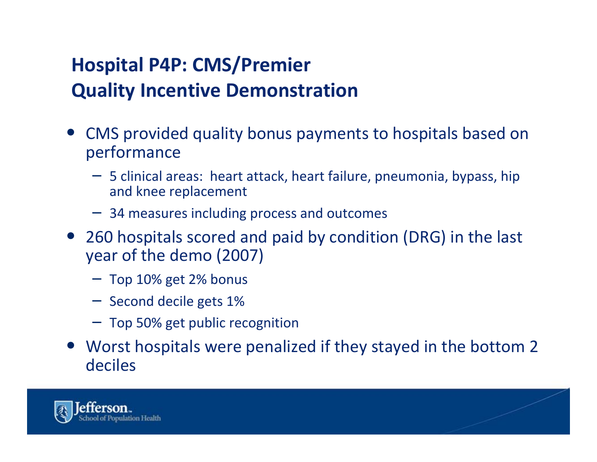#### **Hospital P4P: CMS/Premier Quality Incentive Demonstration**

- CMS provided quality bonus payments to hospitals based on performance
	- 5 clinical areas: heart attack, heart failure, pneumonia, bypass, hip and knee replacement
	- 34 measures including process and outcomes
- 260 hospitals scored and paid by condition (DRG) in the last year of the demo (2007)
	- Top 10% get 2% bonus
	- Second decile gets 1%
	- Top 50% get public recognition
- Worst hospitals were penalized if they stayed in the bottom 2 deciles

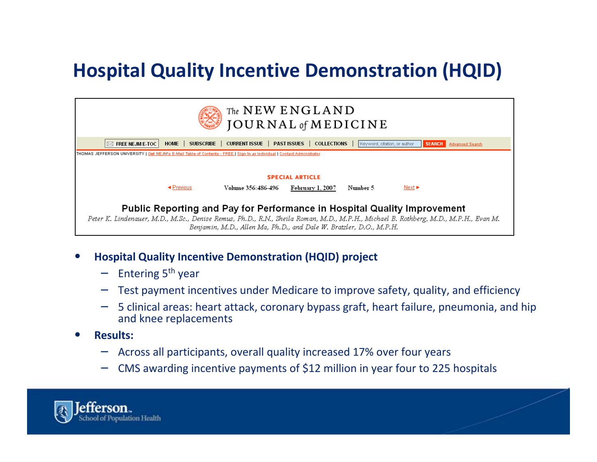#### **Hospital Quality Incentive Demonstration (HQID)**

| The NEW ENGLAND<br><b>JOURNAL</b> of <b>MEDICINE</b>                                                                                                                                                                                                                                   |                                                       |  |  |  |
|----------------------------------------------------------------------------------------------------------------------------------------------------------------------------------------------------------------------------------------------------------------------------------------|-------------------------------------------------------|--|--|--|
| CURRENT ISSUE   PAST ISSUES   COLLECTIONS<br>SUBSCRIBE  <br>Keyword, citation, or author<br>HOME  <br><b>FREE NEJM E-TOC</b><br><b>SEARCH</b><br>Advanced Search                                                                                                                       |                                                       |  |  |  |
| THOMAS JEFFERSON UNIVERSITY   Get NEJM's E-Mail Table of Contents - FREE   Sign In as Individual   Contact Administrator                                                                                                                                                               |                                                       |  |  |  |
| <b>SPECIAL ARTICLE</b>                                                                                                                                                                                                                                                                 |                                                       |  |  |  |
| ◀ Previous<br>Volume 356:486-496                                                                                                                                                                                                                                                       | Number 5<br>$Next \triangleright$<br>February 1, 2007 |  |  |  |
| Public Reporting and Pay for Performance in Hospital Quality Improvement<br>Peter K. Lindenauer, M.D., M.Sc., Denise Remus, Ph.D., R.N., Sheila Roman, M.D., M.P.H., Michael B. Rothberg, M.D., M.P.H., Evan M.<br>Benjamin, M.D., Allen Ma, Ph.D., and Dale W. Bratzler, D.O., M.P.H. |                                                       |  |  |  |

- • **Hospital Quality Incentive Demonstration (HQID) project**
	- Entering <sup>5</sup>th year
	- Test payment incentives under Medicare to improve safety, quality, and efficiency
	- 5 clinical areas: heart attack, coronary bypass graft, heart failure, pneumonia, and hip and knee replacements
- • **Results:**
	- Across all participants, overall quality increased 17% over four years
	- CMS awarding incentive payments of \$12 million in year four to 225 hospitals

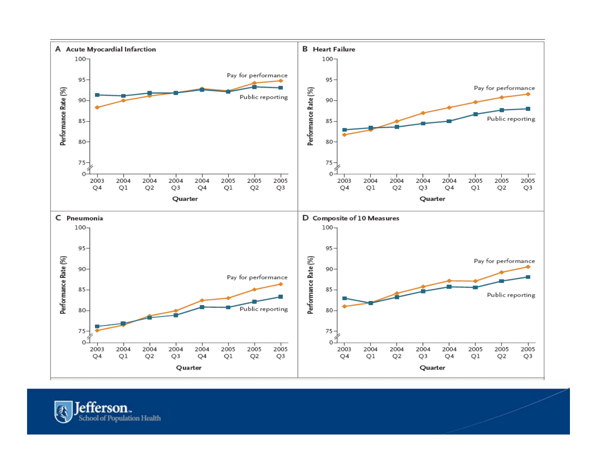

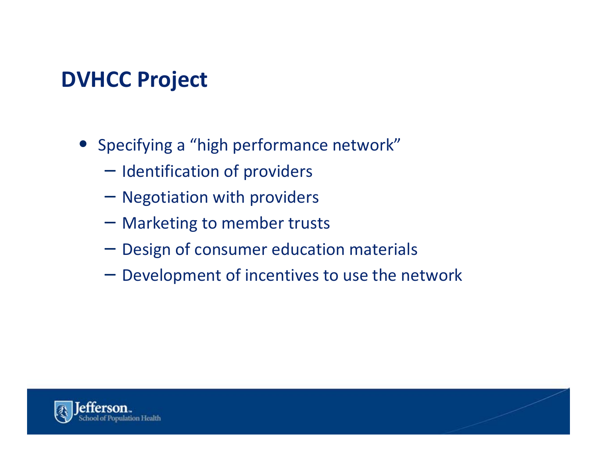# **DVHCC Project**

- Specifying <sup>a</sup> "high performance network"
	- Identification of providers
	- Negotiation with providers
	- Marketing to member trusts
	- Design of consumer education materials
	- Development of incentives to use the network

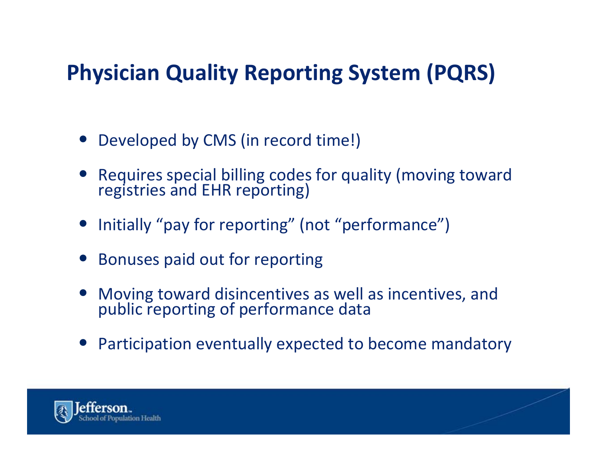# **Physician Quality Reporting System (PQRS)**

- Developed by CMS (in record time!)
- $\bullet$  Requires special billing codes for quality (moving toward registries and EHR reporting)
- Initially "pay for reporting" (not "performance")
- Bonuses paid out for reporting
- $\bullet$ Moving toward disincentives as well as incentives, and public reporting of performance data
- Participation eventually expected to become mandatory

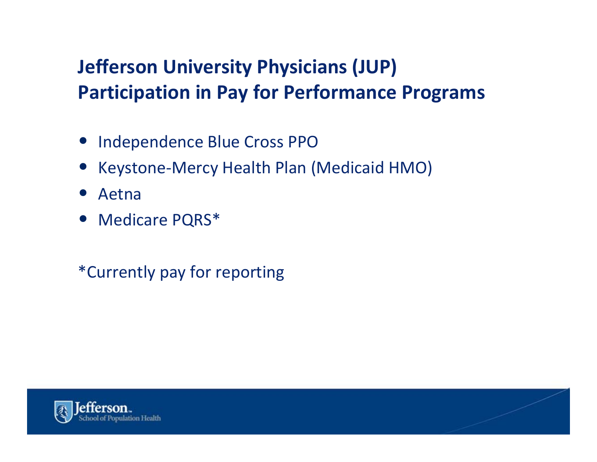#### **Jefferson University Physicians (JUP) Participation in Pay for Performance Programs**

- Independence Blue Cross PPO
- $\bullet$ Keystone‐Mercy Health Plan (Medicaid HMO)
- $\bullet$ Aetna
- Medicare PQRS\*
- \*Currently pay for reporting

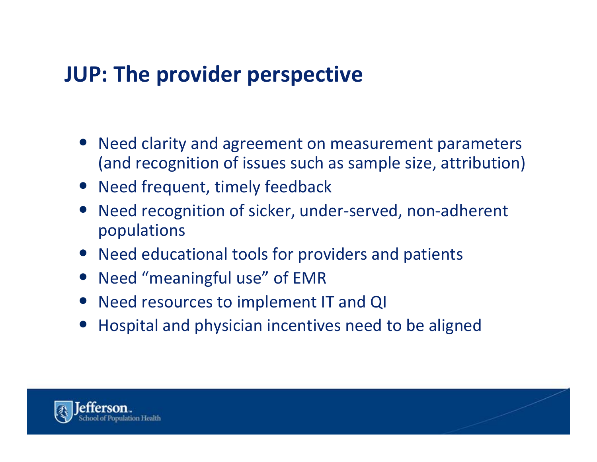# **JUP: The provider perspective**

- Need clarity and agreement on measurement parameters (and recognition of issues such as sample size, attribution)
- Need frequent, timely feedback
- Need recognition of sicker, under‐served, non‐adherent populations
- Need educational tools for providers and patients
- Need "meaningful use" of EMR
- Need resources to implement IT and QI
- $\bullet$ Hospital and physician incentives need to be aligned

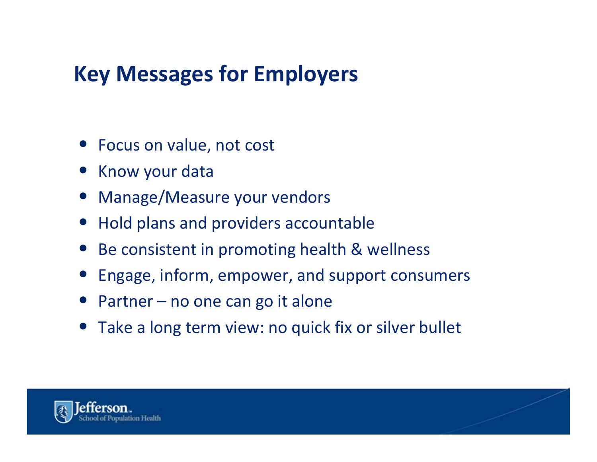# **Key Messages for Employers**

- Focus on value, not cost
- Know your data
- Manage/Measure your vendors
- Hold plans and providers accountable
- Be consistent in promoting health & wellness
- $\bullet$ Engage, inform, empower, and support consumers
- Partner no one can go it alone
- Take a long term view: no quick fix or silver bullet

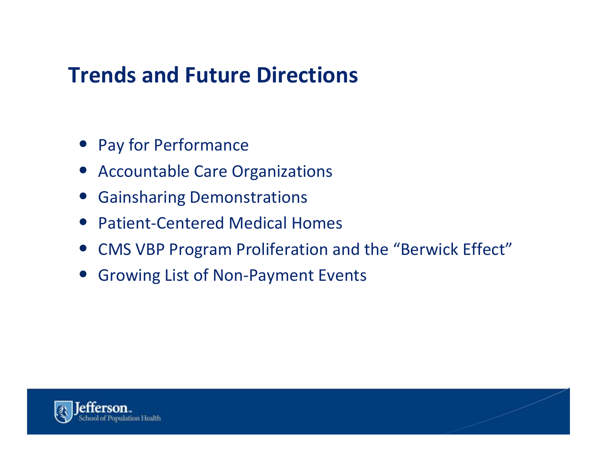# **Trends and Future Directions**

- Pay for Performance
- Accountable Care Organizations
- Gainsharing Demonstrations
- Patient-Centered Medical Homes
- CMS VBP Program Proliferation and the "Berwick Effect"
- Growing List of Non-Payment Events

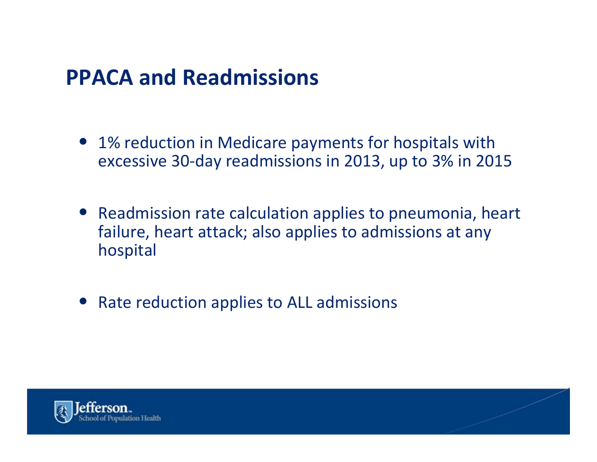#### **PPACA and Readmissions**

- 1% reduction in Medicare payments for hospitals with excessive 30‐day readmissions in 2013, up to 3% in 2015
- Readmission rate calculation applies to pneumonia, heart failure, heart attack; also applies to admissions at any hospital
- Rate reduction applies to ALL admissions

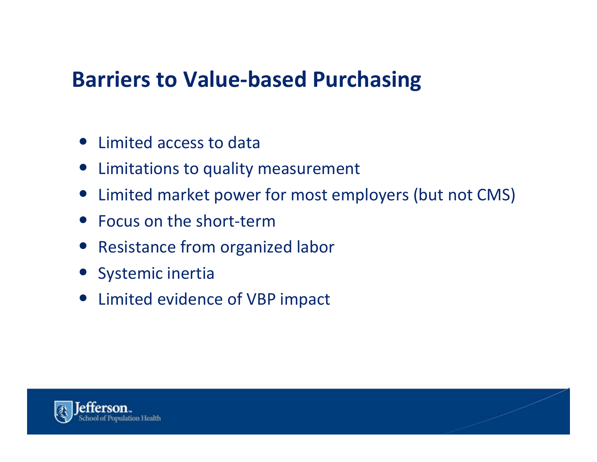## **Barriers to Value‐based Purchasing**

- Limited access to data
- Limitations to quality measurement
- $\bullet$ Limited market power for most employers (but not CMS)
- Focus on the short-term
- Resistance from organized labor
- Systemic inertia
- Limited evidence of VBP impact